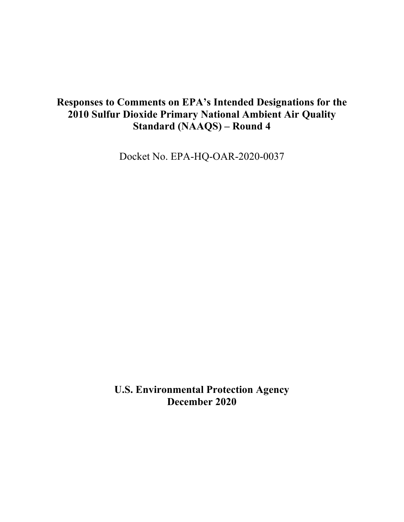# **Responses to Comments on EPA's Intended Designations for the 2010 Sulfur Dioxide Primary National Ambient Air Quality Standard (NAAQS) – Round 4**

Docket No. EPA-HQ-OAR-2020-0037

**U.S. Environmental Protection Agency December 2020**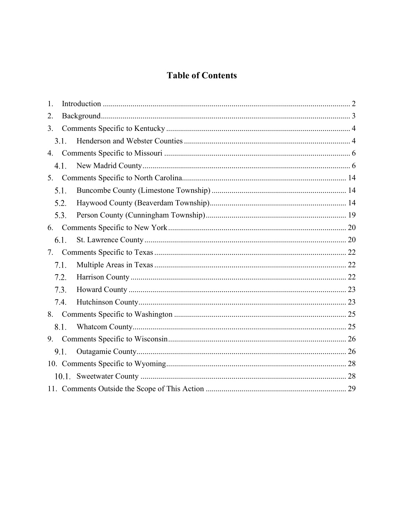# **Table of Contents**

| 1.   |  |
|------|--|
| 2.   |  |
| 3.   |  |
| 3.1. |  |
| 4.   |  |
| 4.1. |  |
|      |  |
| 5.1. |  |
| 5.2. |  |
| 5.3. |  |
| 6.   |  |
| 6.1. |  |
| 7.   |  |
| 7.1. |  |
| 7.2. |  |
| 7.3. |  |
| 7.4. |  |
| 8.   |  |
| 8.1. |  |
| 9.   |  |
| 9.1. |  |
|      |  |
|      |  |
|      |  |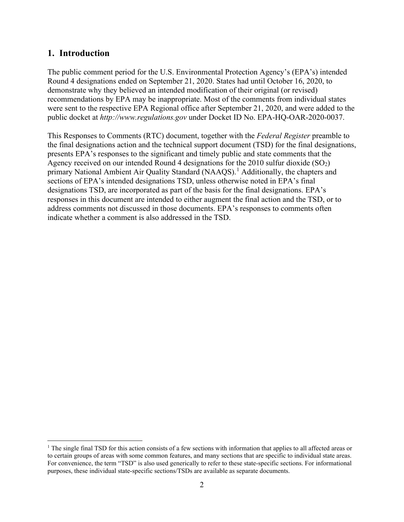#### <span id="page-2-0"></span>**1. Introduction**

The public comment period for the U.S. Environmental Protection Agency's (EPA's) intended Round 4 designations ended on September 21, 2020. States had until October 16, 2020, to demonstrate why they believed an intended modification of their original (or revised) recommendations by EPA may be inappropriate. Most of the comments from individual states were sent to the respective EPA Regional office after September 21, 2020, and were added to the public docket at *[http://www.regulations.gov](http://www.regulations.gov/)* under Docket ID No. EPA-HQ-OAR-2020-0037.

This Responses to Comments (RTC) document, together with the *Federal Register* preamble to the final designations action and the technical support document (TSD) for the final designations, presents EPA's responses to the significant and timely public and state comments that the Agency received on our intended Round 4 designations for the 2010 sulfur dioxide  $(SO<sub>2</sub>)$ primary National Ambient Air Quality Standard (NAAQS).<sup>[1](#page-2-1)</sup> Additionally, the chapters and sections of EPA's intended designations TSD, unless otherwise noted in EPA's final designations TSD, are incorporated as part of the basis for the final designations. EPA's responses in this document are intended to either augment the final action and the TSD, or to address comments not discussed in those documents. EPA's responses to comments often indicate whether a comment is also addressed in the TSD.

<span id="page-2-1"></span><sup>&</sup>lt;sup>1</sup> The single final TSD for this action consists of a few sections with information that applies to all affected areas or to certain groups of areas with some common features, and many sections that are specific to individual state areas. For convenience, the term "TSD" is also used generically to refer to these state-specific sections. For informational purposes, these individual state-specific sections/TSDs are available as separate documents.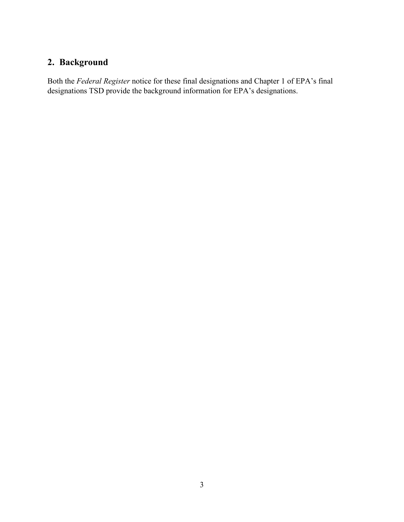# <span id="page-3-0"></span>**2. Background**

Both the *Federal Register* notice for these final designations and Chapter 1 of EPA's final designations TSD provide the background information for EPA's designations.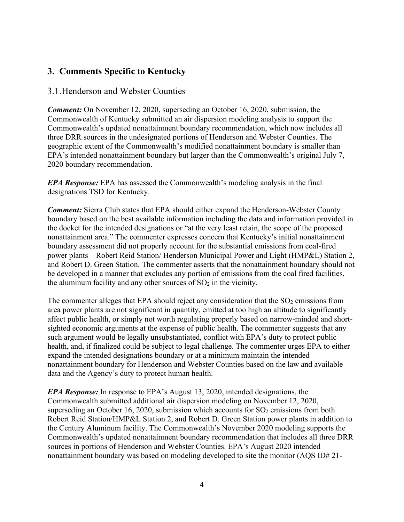# <span id="page-4-0"></span>**3. Comments Specific to Kentucky**

#### <span id="page-4-1"></span>3.1. Henderson and Webster Counties

*Comment:* On November 12, 2020, superseding an October 16, 2020, submission, the Commonwealth of Kentucky submitted an air dispersion modeling analysis to support the Commonwealth's updated nonattainment boundary recommendation, which now includes all three DRR sources in the undesignated portions of Henderson and Webster Counties. The geographic extent of the Commonwealth's modified nonattainment boundary is smaller than EPA's intended nonattainment boundary but larger than the Commonwealth's original July 7, 2020 boundary recommendation.

*EPA Response:* EPA has assessed the Commonwealth's modeling analysis in the final designations TSD for Kentucky.

*Comment:* Sierra Club states that EPA should either expand the Henderson-Webster County boundary based on the best available information including the data and information provided in the docket for the intended designations or "at the very least retain, the scope of the proposed nonattainment area." The commenter expresses concern that Kentucky's initial nonattainment boundary assessment did not properly account for the substantial emissions from coal-fired power plants—Robert Reid Station/ Henderson Municipal Power and Light (HMP&L) Station 2, and Robert D. Green Station. The commenter asserts that the nonattainment boundary should not be developed in a manner that excludes any portion of emissions from the coal fired facilities, the aluminum facility and any other sources of  $SO<sub>2</sub>$  in the vicinity.

The commenter alleges that EPA should reject any consideration that the  $SO<sub>2</sub>$  emissions from area power plants are not significant in quantity, emitted at too high an altitude to significantly affect public health, or simply not worth regulating properly based on narrow-minded and shortsighted economic arguments at the expense of public health. The commenter suggests that any such argument would be legally unsubstantiated, conflict with EPA's duty to protect public health, and, if finalized could be subject to legal challenge. The commenter urges EPA to either expand the intended designations boundary or at a minimum maintain the intended nonattainment boundary for Henderson and Webster Counties based on the law and available data and the Agency's duty to protect human health.

*EPA Response:* In response to EPA's August 13, 2020, intended designations, the Commonwealth submitted additional air dispersion modeling on November 12, 2020, superseding an October 16, 2020, submission which accounts for  $SO<sub>2</sub>$  emissions from both Robert Reid Station/HMP&L Station 2, and Robert D. Green Station power plants in addition to the Century Aluminum facility. The Commonwealth's November 2020 modeling supports the Commonwealth's updated nonattainment boundary recommendation that includes all three DRR sources in portions of Henderson and Webster Counties. EPA's August 2020 intended nonattainment boundary was based on modeling developed to site the monitor (AQS ID# 21-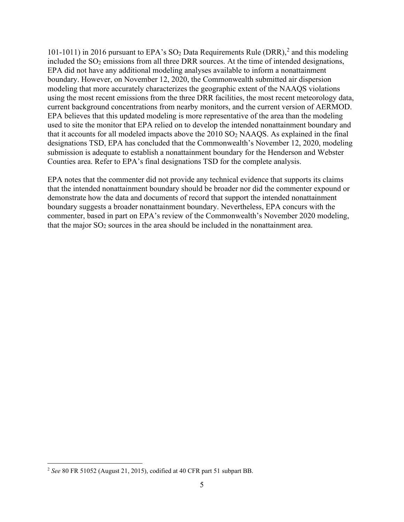101-1011) in [2](#page-5-0)016 pursuant to EPA's  $SO_2$  Data Requirements Rule (DRR),<sup>2</sup> and this modeling included the SO<sub>2</sub> emissions from all three DRR sources. At the time of intended designations, EPA did not have any additional modeling analyses available to inform a nonattainment boundary. However, on November 12, 2020, the Commonwealth submitted air dispersion modeling that more accurately characterizes the geographic extent of the NAAQS violations using the most recent emissions from the three DRR facilities, the most recent meteorology data, current background concentrations from nearby monitors, and the current version of AERMOD. EPA believes that this updated modeling is more representative of the area than the modeling used to site the monitor that EPA relied on to develop the intended nonattainment boundary and that it accounts for all modeled impacts above the  $2010$  SO<sub>2</sub> NAAQS. As explained in the final designations TSD, EPA has concluded that the Commonwealth's November 12, 2020, modeling submission is adequate to establish a nonattainment boundary for the Henderson and Webster Counties area. Refer to EPA's final designations TSD for the complete analysis.

EPA notes that the commenter did not provide any technical evidence that supports its claims that the intended nonattainment boundary should be broader nor did the commenter expound or demonstrate how the data and documents of record that support the intended nonattainment boundary suggests a broader nonattainment boundary. Nevertheless, EPA concurs with the commenter, based in part on EPA's review of the Commonwealth's November 2020 modeling, that the major  $SO_2$  sources in the area should be included in the nonattainment area.

<span id="page-5-0"></span><sup>2</sup> *See* 80 FR 51052 (August 21, 2015), codified at 40 CFR part 51 subpart BB.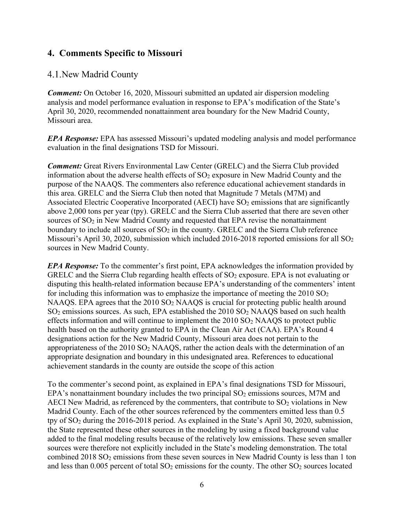# <span id="page-6-0"></span>**4. Comments Specific to Missouri**

### <span id="page-6-1"></span>4.1. New Madrid County

*Comment:* On October 16, 2020, Missouri submitted an updated air dispersion modeling analysis and model performance evaluation in response to EPA's modification of the State's April 30, 2020, recommended nonattainment area boundary for the New Madrid County, Missouri area.

*EPA Response:* EPA has assessed Missouri's updated modeling analysis and model performance evaluation in the final designations TSD for Missouri.

*Comment:* Great Rivers Environmental Law Center (GRELC) and the Sierra Club provided information about the adverse health effects of  $SO_2$  exposure in New Madrid County and the purpose of the NAAQS. The commenters also reference educational achievement standards in this area. GRELC and the Sierra Club then noted that Magnitude 7 Metals (M7M) and Associated Electric Cooperative Incorporated (AECI) have  $SO<sub>2</sub>$  emissions that are significantly above 2,000 tons per year (tpy). GRELC and the Sierra Club asserted that there are seven other sources of  $SO<sub>2</sub>$  in New Madrid County and requested that EPA revise the nonattainment boundary to include all sources of  $SO<sub>2</sub>$  in the county. GRELC and the Sierra Club reference Missouri's April 30, 2020, submission which included 2016-2018 reported emissions for all  $SO_2$ sources in New Madrid County.

*EPA Response:* To the commenter's first point, EPA acknowledges the information provided by GRELC and the Sierra Club regarding health effects of  $SO<sub>2</sub>$  exposure. EPA is not evaluating or disputing this health-related information because EPA's understanding of the commenters' intent for including this information was to emphasize the importance of meeting the  $2010$  SO<sub>2</sub> NAAQS. EPA agrees that the  $2010$  SO<sub>2</sub> NAAQS is crucial for protecting public health around  $SO<sub>2</sub>$  emissions sources. As such, EPA established the  $2010$   $SO<sub>2</sub>$  NAAQS based on such health effects information and will continue to implement the  $2010$  SO<sub>2</sub> NAAQS to protect public health based on the authority granted to EPA in the Clean Air Act (CAA). EPA's Round 4 designations action for the New Madrid County, Missouri area does not pertain to the appropriateness of the 2010 SO2 NAAQS, rather the action deals with the determination of an appropriate designation and boundary in this undesignated area. References to educational achievement standards in the county are outside the scope of this action

To the commenter's second point, as explained in EPA's final designations TSD for Missouri, EPA's nonattainment boundary includes the two principal  $SO<sub>2</sub>$  emissions sources, M7M and AECI New Madrid, as referenced by the commenters, that contribute to  $SO<sub>2</sub>$  violations in New Madrid County. Each of the other sources referenced by the commenters emitted less than 0.5 tpy of SO2 during the 2016-2018 period. As explained in the State's April 30, 2020, submission, the State represented these other sources in the modeling by using a fixed background value added to the final modeling results because of the relatively low emissions. These seven smaller sources were therefore not explicitly included in the State's modeling demonstration. The total combined  $2018 SO<sub>2</sub>$  emissions from these seven sources in New Madrid County is less than 1 ton and less than  $0.005$  percent of total  $SO<sub>2</sub>$  emissions for the county. The other  $SO<sub>2</sub>$  sources located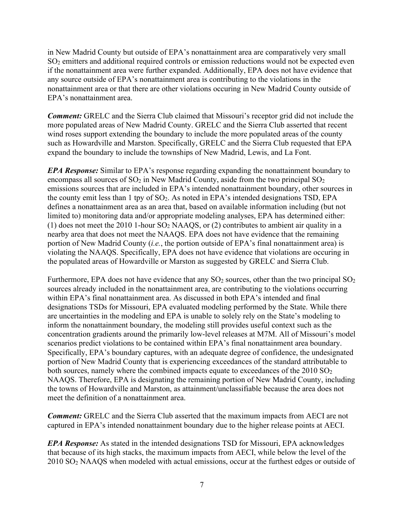in New Madrid County but outside of EPA's nonattainment area are comparatively very small SO2 emitters and additional required controls or emission reductions would not be expected even if the nonattainment area were further expanded. Additionally, EPA does not have evidence that any source outside of EPA's nonattainment area is contributing to the violations in the nonattainment area or that there are other violations occuring in New Madrid County outside of EPA's nonattainment area.

*Comment:* GRELC and the Sierra Club claimed that Missouri's receptor grid did not include the more populated areas of New Madrid County. GRELC and the Sierra Club asserted that recent wind roses support extending the boundary to include the more populated areas of the county such as Howardville and Marston. Specifically, GRELC and the Sierra Club requested that EPA expand the boundary to include the townships of New Madrid, Lewis, and La Font.

*EPA Response:* Similar to EPA's response regarding expanding the nonattainment boundary to encompass all sources of  $SO_2$  in New Madrid County, aside from the two principal  $SO_2$ emissions sources that are included in EPA's intended nonattainment boundary, other sources in the county emit less than 1 tpy of SO2. As noted in EPA's intended designations TSD, EPA defines a nonattainment area as an area that, based on available information including (but not limited to) monitoring data and/or appropriate modeling analyses, EPA has determined either: (1) does not meet the 2010 1-hour  $SO_2$  NAAQS, or (2) contributes to ambient air quality in a nearby area that does not meet the NAAQS. EPA does not have evidence that the remaining portion of New Madrid County (*i.e.*, the portion outside of EPA's final nonattainment area) is violating the NAAQS. Specifically, EPA does not have evidence that violations are occuring in the populated areas of Howardville or Marston as suggested by GRELC and Sierra Club.

Furthermore, EPA does not have evidence that any  $SO_2$  sources, other than the two principal  $SO_2$ sources already included in the nonattainment area, are contributing to the violations occurring within EPA's final nonattainment area. As discussed in both EPA's intended and final designations TSDs for Missouri, EPA evaluated modeling performed by the State. While there are uncertainties in the modeling and EPA is unable to solely rely on the State's modeling to inform the nonattainment boundary, the modeling still provides useful context such as the concentration gradients around the primarily low-level releases at M7M. All of Missouri's model scenarios predict violations to be contained within EPA's final nonattainment area boundary. Specifically, EPA's boundary captures, with an adequate degree of confidence, the undesignated portion of New Madrid County that is experiencing exceedances of the standard attributable to both sources, namely where the combined impacts equate to exceedances of the 2010 SO<sub>2</sub> NAAQS. Therefore, EPA is designating the remaining portion of New Madrid County, including the towns of Howardville and Marston, as attainment/unclassifiable because the area does not meet the definition of a nonattainment area.

*Comment:* GRELC and the Sierra Club asserted that the maximum impacts from AECI are not captured in EPA's intended nonattainment boundary due to the higher release points at AECI.

*EPA Response:* As stated in the intended designations TSD for Missouri, EPA acknowledges that because of its high stacks, the maximum impacts from AECI, while below the level of the 2010 SO2 NAAQS when modeled with actual emissions, occur at the furthest edges or outside of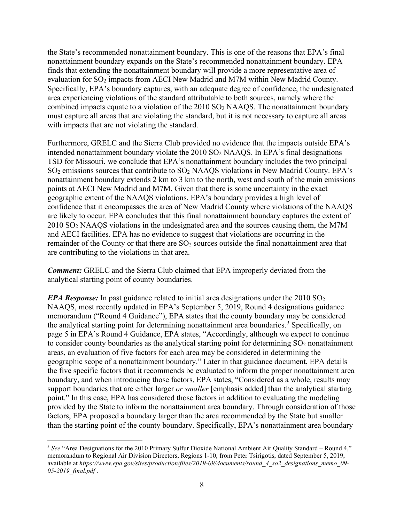the State's recommended nonattainment boundary. This is one of the reasons that EPA's final nonattainment boundary expands on the State's recommended nonattainment boundary. EPA finds that extending the nonattainment boundary will provide a more representative area of evaluation for SO<sub>2</sub> impacts from AECI New Madrid and M7M within New Madrid County. Specifically, EPA's boundary captures, with an adequate degree of confidence, the undesignated area experiencing violations of the standard attributable to both sources, namely where the combined impacts equate to a violation of the  $2010$  SO<sub>2</sub> NAAQS. The nonattainment boundary must capture all areas that are violating the standard, but it is not necessary to capture all areas with impacts that are not violating the standard.

Furthermore, GRELC and the Sierra Club provided no evidence that the impacts outside EPA's intended nonattainment boundary violate the  $2010$  SO<sub>2</sub> NAAQS. In EPA's final designations TSD for Missouri, we conclude that EPA's nonattainment boundary includes the two principal SO2 emissions sources that contribute to SO2 NAAQS violations in New Madrid County. EPA's nonattainment boundary extends 2 km to 3 km to the north, west and south of the main emissions points at AECI New Madrid and M7M. Given that there is some uncertainty in the exact geographic extent of the NAAQS violations, EPA's boundary provides a high level of confidence that it encompasses the area of New Madrid County where violations of the NAAQS are likely to occur. EPA concludes that this final nonattainment boundary captures the extent of 2010 SO2 NAAQS violations in the undesignated area and the sources causing them, the M7M and AECI facilities. EPA has no evidence to suggest that violations are occurring in the remainder of the County or that there are  $SO<sub>2</sub>$  sources outside the final nonattainment area that are contributing to the violations in that area.

*Comment:* GRELC and the Sierra Club claimed that EPA improperly deviated from the analytical starting point of county boundaries.

*EPA Response:* In past guidance related to initial area designations under the 2010 SO<sub>2</sub> NAAQS, most recently updated in EPA's September 5, 2019, Round 4 designations guidance memorandum ("Round 4 Guidance"), EPA states that the county boundary may be considered the analytical starting point for determining nonattainment area boundaries.<sup>[3](#page-8-0)</sup> Specifically, on page 5 in EPA's Round 4 Guidance, EPA states, "Accordingly, although we expect to continue to consider county boundaries as the analytical starting point for determining  $SO<sub>2</sub>$  nonattainment areas, an evaluation of five factors for each area may be considered in determining the geographic scope of a nonattainment boundary." Later in that guidance document, EPA details the five specific factors that it recommends be evaluated to inform the proper nonattainment area boundary, and when introducing those factors, EPA states, "Considered as a whole, results may support boundaries that are either larger *or smaller* [emphasis added] than the analytical starting point." In this case, EPA has considered those factors in addition to evaluating the modeling provided by the State to inform the nonattainment area boundary. Through consideration of those factors, EPA proposed a boundary larger than the area recommended by the State but smaller than the starting point of the county boundary. Specifically, EPA's nonattainment area boundary

<span id="page-8-0"></span><sup>3</sup> *See* "Area Designations for the 2010 Primary Sulfur Dioxide National Ambient Air Quality Standard – Round 4," memorandum to Regional Air Division Directors, Regions 1-10, from Peter Tsirigotis, dated September 5, 2019, available at *https://www.epa.gov/sites/production/files/2019-09/documents/round\_4\_so2\_designations\_memo\_09- 05-2019\_final.pdf* .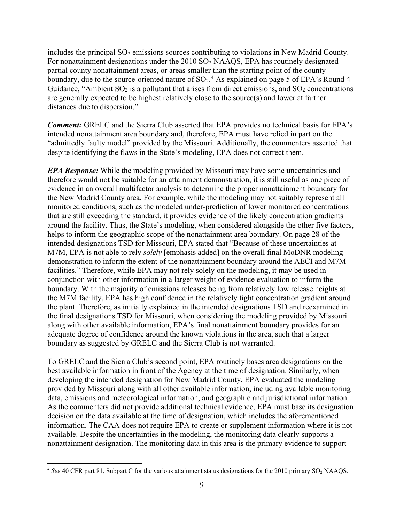includes the principal  $SO_2$  emissions sources contributing to violations in New Madrid County. For nonattainment designations under the 2010 SO<sub>2</sub> NAAQS, EPA has routinely designated partial county nonattainment areas, or areas smaller than the starting point of the county boundary, due to the source-oriented nature of  $SO_2$ .<sup>[4](#page-9-0)</sup> As explained on page 5 of EPA's Round 4 Guidance, "Ambient  $SO_2$  is a pollutant that arises from direct emissions, and  $SO_2$  concentrations are generally expected to be highest relatively close to the source(s) and lower at farther distances due to dispersion."

*Comment:* GRELC and the Sierra Club asserted that EPA provides no technical basis for EPA's intended nonattainment area boundary and, therefore, EPA must have relied in part on the "admittedly faulty model" provided by the Missouri. Additionally, the commenters asserted that despite identifying the flaws in the State's modeling, EPA does not correct them.

*EPA Response:* While the modeling provided by Missouri may have some uncertainties and therefore would not be suitable for an attainment demonstration, it is still useful as one piece of evidence in an overall multifactor analysis to determine the proper nonattainment boundary for the New Madrid County area. For example, while the modeling may not suitably represent all monitored conditions, such as the modeled under-prediction of lower monitored concentrations that are still exceeding the standard, it provides evidence of the likely concentration gradients around the facility. Thus, the State's modeling, when considered alongside the other five factors, helps to inform the geographic scope of the nonattainment area boundary. On page 28 of the intended designations TSD for Missouri, EPA stated that "Because of these uncertainties at M7M, EPA is not able to rely *solely* [emphasis added] on the overall final MoDNR modeling demonstration to inform the extent of the nonattainment boundary around the AECI and M7M facilities." Therefore, while EPA may not rely solely on the modeling, it may be used in conjunction with other information in a larger weight of evidence evaluation to inform the boundary. With the majority of emissions releases being from relatively low release heights at the M7M facility, EPA has high confidence in the relatively tight concentration gradient around the plant. Therefore, as initially explained in the intended designations TSD and reexamined in the final designations TSD for Missouri, when considering the modeling provided by Missouri along with other available information, EPA's final nonattainment boundary provides for an adequate degree of confidence around the known violations in the area, such that a larger boundary as suggested by GRELC and the Sierra Club is not warranted.

To GRELC and the Sierra Club's second point, EPA routinely bases area designations on the best available information in front of the Agency at the time of designation. Similarly, when developing the intended designation for New Madrid County, EPA evaluated the modeling provided by Missouri along with all other available information, including available monitoring data, emissions and meteorological information, and geographic and jurisdictional information. As the commenters did not provide additional technical evidence, EPA must base its designation decision on the data available at the time of designation, which includes the aforementioned information. The CAA does not require EPA to create or supplement information where it is not available. Despite the uncertainties in the modeling, the monitoring data clearly supports a nonattainment designation. The monitoring data in this area is the primary evidence to support

<span id="page-9-0"></span><sup>&</sup>lt;sup>4</sup> See 40 CFR part 81, Subpart C for the various attainment status designations for the 2010 primary SO<sub>2</sub> NAAQS.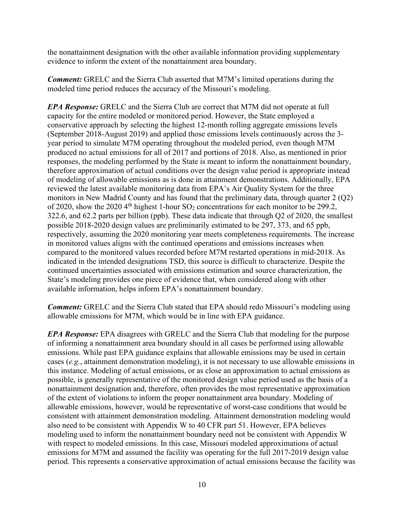the nonattainment designation with the other available information providing supplementary evidence to inform the extent of the nonattainment area boundary.

*Comment:* GRELC and the Sierra Club asserted that M7M's limited operations during the modeled time period reduces the accuracy of the Missouri's modeling.

*EPA Response:* GRELC and the Sierra Club are correct that M7M did not operate at full capacity for the entire modeled or monitored period. However, the State employed a conservative approach by selecting the highest 12-month rolling aggregate emissions levels (September 2018-August 2019) and applied those emissions levels continuously across the 3 year period to simulate M7M operating throughout the modeled period, even though M7M produced no actual emissions for all of 2017 and portions of 2018. Also, as mentioned in prior responses, the modeling performed by the State is meant to inform the nonattainment boundary, therefore approximation of actual conditions over the design value period is appropriate instead of modeling of allowable emissions as is done in attainment demonstrations. Additionally, EPA reviewed the latest available monitoring data from EPA's Air Quality System for the three monitors in New Madrid County and has found that the preliminary data, through quarter 2 (Q2) of 2020, show the 2020 4<sup>th</sup> highest 1-hour  $SO_2$  concentrations for each monitor to be 299.2, 322.6, and 62.2 parts per billion (ppb). These data indicate that through Q2 of 2020, the smallest possible 2018-2020 design values are preliminarily estimated to be 297, 373, and 65 ppb, respectively, assuming the 2020 monitoring year meets completeness requirements. The increase in monitored values aligns with the continued operations and emissions increases when compared to the monitored values recorded before M7M restarted operations in mid-2018. As indicated in the intended designations TSD, this source is difficult to characterize. Despite the continued uncertainties associated with emissions estimation and source characterization, the State's modeling provides one piece of evidence that, when considered along with other available information, helps inform EPA's nonattainment boundary.

*Comment:* GRELC and the Sierra Club stated that EPA should redo Missouri's modeling using allowable emissions for M7M, which would be in line with EPA guidance.

*EPA Response:* EPA disagrees with GRELC and the Sierra Club that modeling for the purpose of informing a nonattainment area boundary should in all cases be performed using allowable emissions. While past EPA guidance explains that allowable emissions may be used in certain cases (*e.g.*, attainment demonstration modeling), it is not necessary to use allowable emissions in this instance. Modeling of actual emissions, or as close an approximation to actual emissions as possible, is generally representative of the monitored design value period used as the basis of a nonattainment designation and, therefore, often provides the most representative approximation of the extent of violations to inform the proper nonattainment area boundary. Modeling of allowable emissions, however, would be representative of worst-case conditions that would be consistent with attainment demonstration modeling. Attainment demonstration modeling would also need to be consistent with Appendix W to 40 CFR part 51. However, EPA believes modeling used to inform the nonattainment boundary need not be consistent with Appendix W with respect to modeled emissions. In this case, Missouri modeled approximations of actual emissions for M7M and assumed the facility was operating for the full 2017-2019 design value period. This represents a conservative approximation of actual emissions because the facility was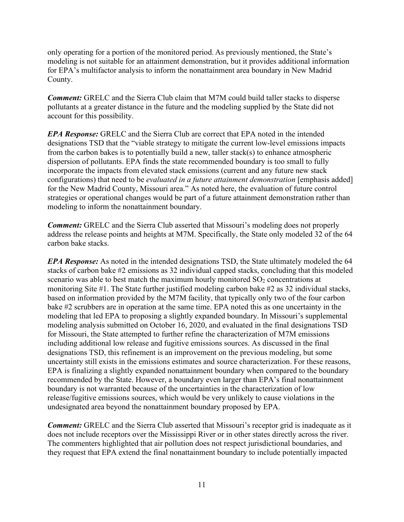only operating for a portion of the monitored period. As previously mentioned, the State's modeling is not suitable for an attainment demonstration, but it provides additional information for EPA's multifactor analysis to inform the nonattainment area boundary in New Madrid County.

*Comment:* GRELC and the Sierra Club claim that M7M could build taller stacks to disperse pollutants at a greater distance in the future and the modeling supplied by the State did not account for this possibility.

*EPA Response:* GRELC and the Sierra Club are correct that EPA noted in the intended designations TSD that the "viable strategy to mitigate the current low-level emissions impacts from the carbon bakes is to potentially build a new, taller stack(s) to enhance atmospheric dispersion of pollutants. EPA finds the state recommended boundary is too small to fully incorporate the impacts from elevated stack emissions (current and any future new stack configurations) that need to be *evaluated in a future attainment demonstration* [emphasis added] for the New Madrid County, Missouri area." As noted here, the evaluation of future control strategies or operational changes would be part of a future attainment demonstration rather than modeling to inform the nonattainment boundary.

*Comment:* GRELC and the Sierra Club asserted that Missouri's modeling does not properly address the release points and heights at M7M. Specifically, the State only modeled 32 of the 64 carbon bake stacks.

*EPA Response:* As noted in the intended designations TSD, the State ultimately modeled the 64 stacks of carbon bake #2 emissions as 32 individual capped stacks, concluding that this modeled scenario was able to best match the maximum hourly monitored  $SO<sub>2</sub>$  concentrations at monitoring Site #1. The State further justified modeling carbon bake #2 as 32 individual stacks, based on information provided by the M7M facility, that typically only two of the four carbon bake #2 scrubbers are in operation at the same time. EPA noted this as one uncertainty in the modeling that led EPA to proposing a slightly expanded boundary. In Missouri's supplemental modeling analysis submitted on October 16, 2020, and evaluated in the final designations TSD for Missouri, the State attempted to further refine the characterization of M7M emissions including additional low release and fugitive emissions sources. As discussed in the final designations TSD, this refinement is an improvement on the previous modeling, but some uncertainty still exists in the emissions estimates and source characterization. For these reasons, EPA is finalizing a slightly expanded nonattainment boundary when compared to the boundary recommended by the State. However, a boundary even larger than EPA's final nonattainment boundary is not warranted because of the uncertainties in the characterization of low release/fugitive emissions sources, which would be very unlikely to cause violations in the undesignated area beyond the nonattainment boundary proposed by EPA.

*Comment:* GRELC and the Sierra Club asserted that Missouri's receptor grid is inadequate as it does not include receptors over the Mississippi River or in other states directly across the river. The commenters highlighted that air pollution does not respect jurisdictional boundaries, and they request that EPA extend the final nonattainment boundary to include potentially impacted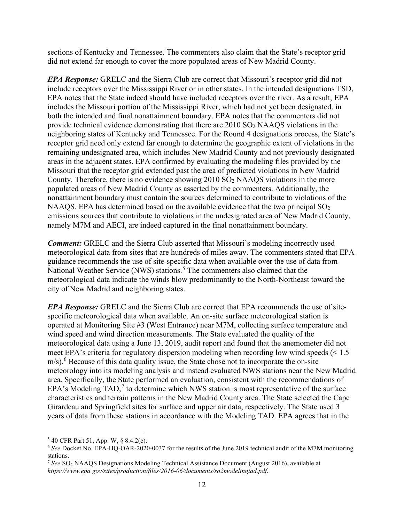sections of Kentucky and Tennessee. The commenters also claim that the State's receptor grid did not extend far enough to cover the more populated areas of New Madrid County.

*EPA Response:* GRELC and the Sierra Club are correct that Missouri's receptor grid did not include receptors over the Mississippi River or in other states. In the intended designations TSD, EPA notes that the State indeed should have included receptors over the river. As a result, EPA includes the Missouri portion of the Mississippi River, which had not yet been designated, in both the intended and final nonattainment boundary. EPA notes that the commenters did not provide technical evidence demonstrating that there are  $2010$  SO<sub>2</sub> NAAQS violations in the neighboring states of Kentucky and Tennessee. For the Round 4 designations process, the State's receptor grid need only extend far enough to determine the geographic extent of violations in the remaining undesignated area, which includes New Madrid County and not previously designated areas in the adjacent states. EPA confirmed by evaluating the modeling files provided by the Missouri that the receptor grid extended past the area of predicted violations in New Madrid County. Therefore, there is no evidence showing  $2010$  SO<sub>2</sub> NAAQS violations in the more populated areas of New Madrid County as asserted by the commenters. Additionally, the nonattainment boundary must contain the sources determined to contribute to violations of the NAAQS. EPA has determined based on the available evidence that the two principal  $SO_2$ emissions sources that contribute to violations in the undesignated area of New Madrid County, namely M7M and AECI, are indeed captured in the final nonattainment boundary.

*Comment:* GRELC and the Sierra Club asserted that Missouri's modeling incorrectly used meteorological data from sites that are hundreds of miles away. The commenters stated that EPA guidance recommends the use of site-specific data when available over the use of data from National Weather Service (NWS) stations.<sup>[5](#page-12-0)</sup> The commenters also claimed that the meteorological data indicate the winds blow predominantly to the North-Northeast toward the city of New Madrid and neighboring states.

*EPA Response:* GRELC and the Sierra Club are correct that EPA recommends the use of sitespecific meteorological data when available. An on-site surface meteorological station is operated at Monitoring Site #3 (West Entrance) near M7M, collecting surface temperature and wind speed and wind direction measurements. The State evaluated the quality of the meteorological data using a June 13, 2019, audit report and found that the anemometer did not meet EPA's criteria for regulatory dispersion modeling when recording low wind speeds (< 1.5  $m/s$ ).<sup>[6](#page-12-1)</sup> Because of this data quality issue, the State chose not to incorporate the on-site meteorology into its modeling analysis and instead evaluated NWS stations near the New Madrid area. Specifically, the State performed an evaluation, consistent with the recommendations of EPA's Modeling  $TAD$ ,<sup> $7$ </sup> to determine which NWS station is most representative of the surface characteristics and terrain patterns in the New Madrid County area. The State selected the Cape Girardeau and Springfield sites for surface and upper air data, respectively. The State used 3 years of data from these stations in accordance with the Modeling TAD. EPA agrees that in the

<span id="page-12-0"></span><sup>5</sup> 40 CFR Part 51, App. W, § 8.4.2(e).

<span id="page-12-1"></span><sup>6</sup> *See* Docket No. EPA-HQ-OAR-2020-0037 for the results of the June 2019 technical audit of the M7M monitoring stations.

<span id="page-12-2"></span><sup>7</sup> *See* SO2 NAAQS Designations Modeling Technical Assistance Document (August 2016), available at *https://www.epa.gov/sites/production/files/2016-06/documents/so2modelingtad.pdf*.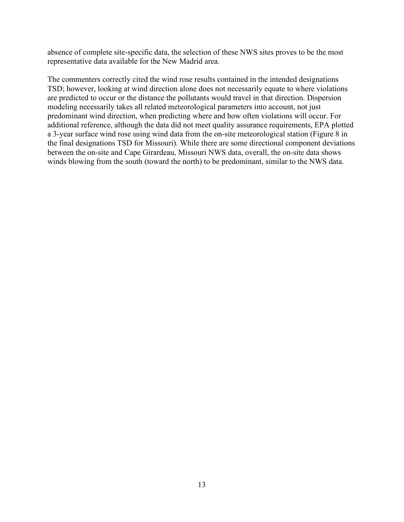absence of complete site-specific data, the selection of these NWS sites proves to be the most representative data available for the New Madrid area.

The commenters correctly cited the wind rose results contained in the intended designations TSD; however, looking at wind direction alone does not necessarily equate to where violations are predicted to occur or the distance the pollutants would travel in that direction. Dispersion modeling necessarily takes all related meteorological parameters into account, not just predominant wind direction, when predicting where and how often violations will occur. For additional reference, although the data did not meet quality assurance requirements, EPA plotted a 3-year surface wind rose using wind data from the on-site meteorological station (Figure 8 in the final designations TSD for Missouri). While there are some directional component deviations between the on-site and Cape Girardeau, Missouri NWS data, overall, the on-site data shows winds blowing from the south (toward the north) to be predominant, similar to the NWS data.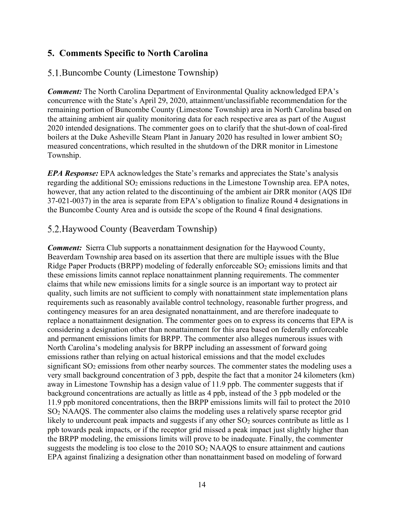### <span id="page-14-0"></span>**5. Comments Specific to North Carolina**

#### <span id="page-14-1"></span>5.1. Buncombe County (Limestone Township)

*Comment:* The North Carolina Department of Environmental Quality acknowledged EPA's concurrence with the State's April 29, 2020, attainment/unclassifiable recommendation for the remaining portion of Buncombe County (Limestone Township) area in North Carolina based on the attaining ambient air quality monitoring data for each respective area as part of the August 2020 intended designations. The commenter goes on to clarify that the shut-down of coal-fired boilers at the Duke Asheville Steam Plant in January 2020 has resulted in lower ambient  $SO_2$ measured concentrations, which resulted in the shutdown of the DRR monitor in Limestone Township.

*EPA Response:* EPA acknowledges the State's remarks and appreciates the State's analysis regarding the additional  $SO<sub>2</sub>$  emissions reductions in the Limestone Township area. EPA notes, however, that any action related to the discontinuing of the ambient air DRR monitor (AQS ID# 37-021-0037) in the area is separate from EPA's obligation to finalize Round 4 designations in the Buncombe County Area and is outside the scope of the Round 4 final designations.

#### <span id="page-14-2"></span>5.2. Haywood County (Beaverdam Township)

*Comment:* Sierra Club supports a nonattainment designation for the Haywood County, Beaverdam Township area based on its assertion that there are multiple issues with the Blue Ridge Paper Products (BRPP) modeling of federally enforceable SO<sub>2</sub> emissions limits and that these emissions limits cannot replace nonattainment planning requirements. The commenter claims that while new emissions limits for a single source is an important way to protect air quality, such limits are not sufficient to comply with nonattainment state implementation plans requirements such as reasonably available control technology, reasonable further progress, and contingency measures for an area designated nonattainment, and are therefore inadequate to replace a nonattainment designation. The commenter goes on to express its concerns that EPA is considering a designation other than nonattainment for this area based on federally enforceable and permanent emissions limits for BRPP. The commenter also alleges numerous issues with North Carolina's modeling analysis for BRPP including an assessment of forward going emissions rather than relying on actual historical emissions and that the model excludes significant SO<sub>2</sub> emissions from other nearby sources. The commenter states the modeling uses a very small background concentration of 3 ppb, despite the fact that a monitor 24 kilometers (km) away in Limestone Township has a design value of 11.9 ppb. The commenter suggests that if background concentrations are actually as little as 4 ppb, instead of the 3 ppb modeled or the 11.9 ppb monitored concentrations, then the BRPP emissions limits will fail to protect the 2010 SO2 NAAQS. The commenter also claims the modeling uses a relatively sparse receptor grid likely to undercount peak impacts and suggests if any other  $SO<sub>2</sub>$  sources contribute as little as 1 ppb towards peak impacts, or if the receptor grid missed a peak impact just slightly higher than the BRPP modeling, the emissions limits will prove to be inadequate. Finally, the commenter suggests the modeling is too close to the  $2010$  SO<sub>2</sub> NAAQS to ensure attainment and cautions EPA against finalizing a designation other than nonattainment based on modeling of forward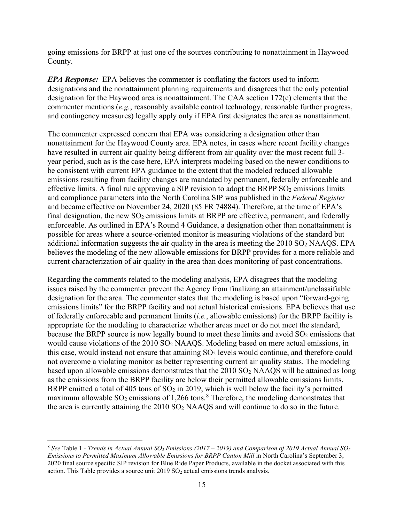going emissions for BRPP at just one of the sources contributing to nonattainment in Haywood County.

*EPA Response:* EPA believes the commenter is conflating the factors used to inform designations and the nonattainment planning requirements and disagrees that the only potential designation for the Haywood area is nonattainment. The CAA section 172(c) elements that the commenter mentions (*e.g.*, reasonably available control technology, reasonable further progress, and contingency measures) legally apply only if EPA first designates the area as nonattainment.

The commenter expressed concern that EPA was considering a designation other than nonattainment for the Haywood County area. EPA notes, in cases where recent facility changes have resulted in current air quality being different from air quality over the most recent full 3 year period, such as is the case here, EPA interprets modeling based on the newer conditions to be consistent with current EPA guidance to the extent that the modeled reduced allowable emissions resulting from facility changes are mandated by permanent, federally enforceable and effective limits. A final rule approving a SIP revision to adopt the BRPP  $SO_2$  emissions limits and compliance parameters into the North Carolina SIP was published in the *Federal Register* and became effective on November 24, 2020 (85 FR 74884). Therefore, at the time of EPA's final designation, the new  $SO_2$  emissions limits at BRPP are effective, permanent, and federally enforceable. As outlined in EPA's Round 4 Guidance, a designation other than nonattainment is possible for areas where a source-oriented monitor is measuring violations of the standard but additional information suggests the air quality in the area is meeting the  $2010$  SO<sub>2</sub> NAAQS. EPA believes the modeling of the new allowable emissions for BRPP provides for a more reliable and current characterization of air quality in the area than does monitoring of past concentrations.

Regarding the comments related to the modeling analysis, EPA disagrees that the modeling issues raised by the commenter prevent the Agency from finalizing an attainment/unclassifiable designation for the area. The commenter states that the modeling is based upon "forward-going emissions limits" for the BRPP facility and not actual historical emissions. EPA believes that use of federally enforceable and permanent limits (*i.e.*, allowable emissions) for the BRPP facility is appropriate for the modeling to characterize whether areas meet or do not meet the standard, because the BRPP source is now legally bound to meet these limits and avoid  $SO<sub>2</sub>$  emissions that would cause violations of the 2010 SO<sub>2</sub> NAAQS. Modeling based on mere actual emissions, in this case, would instead not ensure that attaining  $SO<sub>2</sub>$  levels would continue, and therefore could not overcome a violating monitor as better representing current air quality status. The modeling based upon allowable emissions demonstrates that the  $2010$  SO<sub>2</sub> NAAQS will be attained as long as the emissions from the BRPP facility are below their permitted allowable emissions limits. BRPP emitted a total of 405 tons of  $SO<sub>2</sub>$  in 2019, which is well below the facility's permitted maximum allowable  $SO_2$  emissions of 1,266 tons.<sup>[8](#page-15-0)</sup> Therefore, the modeling demonstrates that the area is currently attaining the  $2010$  SO<sub>2</sub> NAAOS and will continue to do so in the future.

<span id="page-15-0"></span><sup>8</sup> *See* Table 1 - *Trends in Actual Annual SO2 Emissions (2017 – 2019) and Comparison of 2019 Actual Annual SO2 Emissions to Permitted Maximum Allowable Emissions for BRPP Canton Mill* in North Carolina's September 3, 2020 final source specific SIP revision for Blue Ride Paper Products, available in the docket associated with this action. This Table provides a source unit  $2019$  SO<sub>2</sub> actual emissions trends analysis.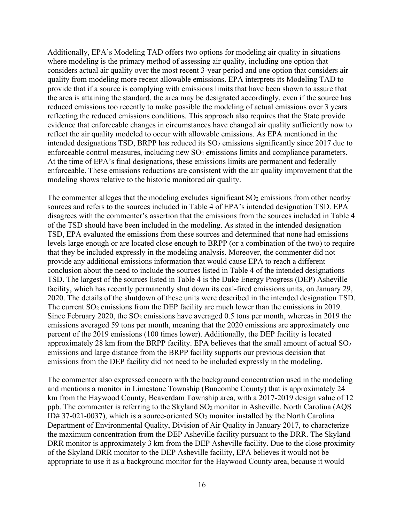Additionally, EPA's Modeling TAD offers two options for modeling air quality in situations where modeling is the primary method of assessing air quality, including one option that considers actual air quality over the most recent 3-year period and one option that considers air quality from modeling more recent allowable emissions. EPA interprets its Modeling TAD to provide that if a source is complying with emissions limits that have been shown to assure that the area is attaining the standard, the area may be designated accordingly, even if the source has reduced emissions too recently to make possible the modeling of actual emissions over 3 years reflecting the reduced emissions conditions. This approach also requires that the State provide evidence that enforceable changes in circumstances have changed air quality sufficiently now to reflect the air quality modeled to occur with allowable emissions. As EPA mentioned in the intended designations TSD, BRPP has reduced its  $SO<sub>2</sub>$  emissions significantly since 2017 due to enforceable control measures, including new SO<sub>2</sub> emissions limits and compliance parameters. At the time of EPA's final designations, these emissions limits are permanent and federally enforceable. These emissions reductions are consistent with the air quality improvement that the modeling shows relative to the historic monitored air quality.

The commenter alleges that the modeling excludes significant  $SO<sub>2</sub>$  emissions from other nearby sources and refers to the sources included in Table 4 of EPA's intended designation TSD. EPA disagrees with the commenter's assertion that the emissions from the sources included in Table 4 of the TSD should have been included in the modeling. As stated in the intended designation TSD, EPA evaluated the emissions from these sources and determined that none had emissions levels large enough or are located close enough to BRPP (or a combination of the two) to require that they be included expressly in the modeling analysis. Moreover, the commenter did not provide any additional emissions information that would cause EPA to reach a different conclusion about the need to include the sources listed in Table 4 of the intended designations TSD. The largest of the sources listed in Table 4 is the Duke Energy Progress (DEP) Asheville facility, which has recently permanently shut down its coal-fired emissions units, on January 29, 2020. The details of the shutdown of these units were described in the intended designation TSD. The current  $SO_2$  emissions from the DEP facility are much lower than the emissions in 2019. Since February 2020, the  $SO<sub>2</sub>$  emissions have averaged 0.5 tons per month, whereas in 2019 the emissions averaged 59 tons per month, meaning that the 2020 emissions are approximately one percent of the 2019 emissions (100 times lower). Additionally, the DEP facility is located approximately 28 km from the BRPP facility. EPA believes that the small amount of actual  $SO_2$ emissions and large distance from the BRPP facility supports our previous decision that emissions from the DEP facility did not need to be included expressly in the modeling.

The commenter also expressed concern with the background concentration used in the modeling and mentions a monitor in Limestone Township (Buncombe County) that is approximately 24 km from the Haywood County, Beaverdam Township area, with a 2017-2019 design value of 12 ppb. The commenter is referring to the Skyland  $SO_2$  monitor in Asheville, North Carolina (AQS ID# 37-021-0037), which is a source-oriented  $SO_2$  monitor installed by the North Carolina Department of Environmental Quality, Division of Air Quality in January 2017, to characterize the maximum concentration from the DEP Asheville facility pursuant to the DRR. The Skyland DRR monitor is approximately 3 km from the DEP Asheville facility. Due to the close proximity of the Skyland DRR monitor to the DEP Asheville facility, EPA believes it would not be appropriate to use it as a background monitor for the Haywood County area, because it would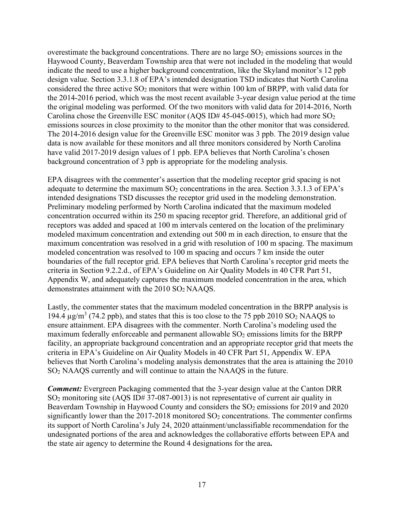overestimate the background concentrations. There are no large  $SO<sub>2</sub>$  emissions sources in the Haywood County, Beaverdam Township area that were not included in the modeling that would indicate the need to use a higher background concentration, like the Skyland monitor's 12 ppb design value. Section 3.3.1.8 of EPA's intended designation TSD indicates that North Carolina considered the three active  $SO_2$  monitors that were within 100 km of BRPP, with valid data for the 2014-2016 period, which was the most recent available 3-year design value period at the time the original modeling was performed. Of the two monitors with valid data for 2014-2016, North Carolina chose the Greenville ESC monitor (AQS ID# 45-045-0015), which had more  $SO_2$ emissions sources in close proximity to the monitor than the other monitor that was considered. The 2014-2016 design value for the Greenville ESC monitor was 3 ppb. The 2019 design value data is now available for these monitors and all three monitors considered by North Carolina have valid 2017-2019 design values of 1 ppb. EPA believes that North Carolina's chosen background concentration of 3 ppb is appropriate for the modeling analysis.

EPA disagrees with the commenter's assertion that the modeling receptor grid spacing is not adequate to determine the maximum  $SO_2$  concentrations in the area. Section 3.3.1.3 of EPA's intended designations TSD discusses the receptor grid used in the modeling demonstration. Preliminary modeling performed by North Carolina indicated that the maximum modeled concentration occurred within its 250 m spacing receptor grid. Therefore, an additional grid of receptors was added and spaced at 100 m intervals centered on the location of the preliminary modeled maximum concentration and extending out 500 m in each direction, to ensure that the maximum concentration was resolved in a grid with resolution of 100 m spacing. The maximum modeled concentration was resolved to 100 m spacing and occurs 7 km inside the outer boundaries of the full receptor grid. EPA believes that North Carolina's receptor grid meets the criteria in Section 9.2.2.d., of EPA's Guideline on Air Quality Models in 40 CFR Part 51, Appendix W, and adequately captures the maximum modeled concentration in the area, which demonstrates attainment with the 2010 SO2 NAAQS.

Lastly, the commenter states that the maximum modeled concentration in the BRPP analysis is 194.4  $\mu$ g/m<sup>3</sup> (74.2 ppb), and states that this is too close to the 75 ppb 2010 SO<sub>2</sub> NAAQS to ensure attainment. EPA disagrees with the commenter. North Carolina's modeling used the maximum federally enforceable and permanent allowable  $SO<sub>2</sub>$  emissions limits for the BRPP facility, an appropriate background concentration and an appropriate receptor grid that meets the criteria in EPA's Guideline on Air Quality Models in 40 CFR Part 51, Appendix W. EPA believes that North Carolina's modeling analysis demonstrates that the area is attaining the 2010 SO2 NAAQS currently and will continue to attain the NAAQS in the future.

*Comment:* Evergreen Packaging commented that the 3-year design value at the Canton DRR SO2 monitoring site (AQS ID# 37-087-0013) is not representative of current air quality in Beaverdam Township in Haywood County and considers the  $SO<sub>2</sub>$  emissions for 2019 and 2020 significantly lower than the  $2017-2018$  monitored  $SO<sub>2</sub>$  concentrations. The commenter confirms its support of North Carolina's July 24, 2020 attainment/unclassifiable recommendation for the undesignated portions of the area and acknowledges the collaborative efforts between EPA and the state air agency to determine the Round 4 designations for the area**.**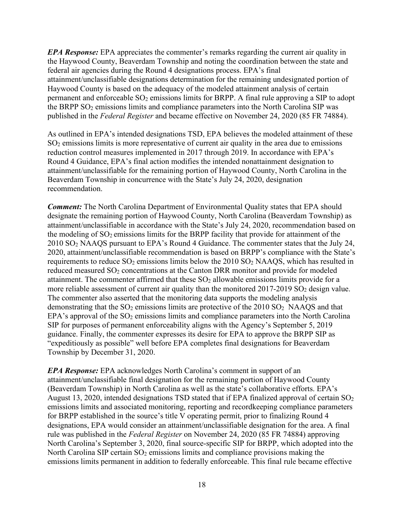*EPA Response:* EPA appreciates the commenter's remarks regarding the current air quality in the Haywood County, Beaverdam Township and noting the coordination between the state and federal air agencies during the Round 4 designations process. EPA's final attainment/unclassifiable designations determination for the remaining undesignated portion of Haywood County is based on the adequacy of the modeled attainment analysis of certain permanent and enforceable SO<sub>2</sub> emissions limits for BRPP. A final rule approving a SIP to adopt the BRPP SO<sub>2</sub> emissions limits and compliance parameters into the North Carolina SIP was published in the *Federal Register* and became effective on November 24, 2020 (85 FR 74884).

As outlined in EPA's intended designations TSD, EPA believes the modeled attainment of these SO2 emissions limits is more representative of current air quality in the area due to emissions reduction control measures implemented in 2017 through 2019. In accordance with EPA's Round 4 Guidance, EPA's final action modifies the intended nonattainment designation to attainment/unclassifiable for the remaining portion of Haywood County, North Carolina in the Beaverdam Township in concurrence with the State's July 24, 2020, designation recommendation.

*Comment:* The North Carolina Department of Environmental Quality states that EPA should designate the remaining portion of Haywood County, North Carolina (Beaverdam Township) as attainment/unclassifiable in accordance with the State's July 24, 2020, recommendation based on the modeling of  $SO_2$  emissions limits for the BRPP facility that provide for attainment of the 2010 SO2 NAAQS pursuant to EPA's Round 4 Guidance. The commenter states that the July 24, 2020, attainment/unclassifiable recommendation is based on BRPP's compliance with the State's requirements to reduce  $SO_2$  emissions limits below the 2010  $SO_2$  NAAQS, which has resulted in reduced measured SO<sub>2</sub> concentrations at the Canton DRR monitor and provide for modeled attainment. The commenter affirmed that these  $SO<sub>2</sub>$  allowable emissions limits provide for a more reliable assessment of current air quality than the monitored  $2017-2019$  SO<sub>2</sub> design value. The commenter also asserted that the monitoring data supports the modeling analysis demonstrating that the  $SO_2$  emissions limits are protective of the 2010  $SO_2$  NAAQS and that EPA's approval of the  $SO_2$  emissions limits and compliance parameters into the North Carolina SIP for purposes of permanent enforceability aligns with the Agency's September 5, 2019 guidance. Finally, the commenter expresses its desire for EPA to approve the BRPP SIP as "expeditiously as possible" well before EPA completes final designations for Beaverdam Township by December 31, 2020.

*EPA Response:* EPA acknowledges North Carolina's comment in support of an attainment/unclassifiable final designation for the remaining portion of Haywood County (Beaverdam Township) in North Carolina as well as the state's collaborative efforts. EPA's August 13, 2020, intended designations TSD stated that if EPA finalized approval of certain  $SO_2$ emissions limits and associated monitoring, reporting and recordkeeping compliance parameters for BRPP established in the source's title V operating permit, prior to finalizing Round 4 designations, EPA would consider an attainment/unclassifiable designation for the area. A final rule was published in the *Federal Register* on November 24, 2020 (85 FR 74884) approving North Carolina's September 3, 2020, final source-specific SIP for BRPP, which adopted into the North Carolina SIP certain  $SO_2$  emissions limits and compliance provisions making the emissions limits permanent in addition to federally enforceable. This final rule became effective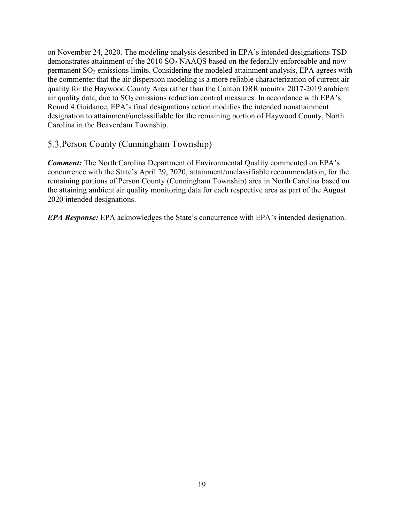on November 24, 2020. The modeling analysis described in EPA's intended designations TSD demonstrates attainment of the 2010 SO<sub>2</sub> NAAQS based on the federally enforceable and now permanent  $SO<sub>2</sub>$  emissions limits. Considering the modeled attainment analysis, EPA agrees with the commenter that the air dispersion modeling is a more reliable characterization of current air quality for the Haywood County Area rather than the Canton DRR monitor 2017-2019 ambient air quality data, due to SO<sub>2</sub> emissions reduction control measures. In accordance with EPA's Round 4 Guidance, EPA's final designations action modifies the intended nonattainment designation to attainment/unclassifiable for the remaining portion of Haywood County, North Carolina in the Beaverdam Township.

### <span id="page-19-0"></span>5.3. Person County (Cunningham Township)

*Comment:* The North Carolina Department of Environmental Quality commented on EPA's concurrence with the State's April 29, 2020, attainment/unclassifiable recommendation, for the remaining portions of Person County (Cunningham Township) area in North Carolina based on the attaining ambient air quality monitoring data for each respective area as part of the August 2020 intended designations.

*EPA Response:* EPA acknowledges the State's concurrence with EPA's intended designation.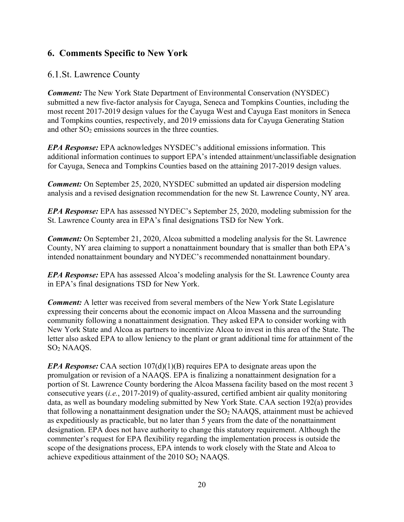# <span id="page-20-0"></span>**6. Comments Specific to New York**

### <span id="page-20-1"></span>6.1. St. Lawrence County

*Comment:* The New York State Department of Environmental Conservation (NYSDEC) submitted a new five-factor analysis for Cayuga, Seneca and Tompkins Counties, including the most recent 2017-2019 design values for the Cayuga West and Cayuga East monitors in Seneca and Tompkins counties, respectively, and 2019 emissions data for Cayuga Generating Station and other  $SO<sub>2</sub>$  emissions sources in the three counties.

*EPA Response:* EPA acknowledges NYSDEC's additional emissions information. This additional information continues to support EPA's intended attainment/unclassifiable designation for Cayuga, Seneca and Tompkins Counties based on the attaining 2017-2019 design values.

*Comment:* On September 25, 2020, NYSDEC submitted an updated air dispersion modeling analysis and a revised designation recommendation for the new St. Lawrence County, NY area.

*EPA Response:* EPA has assessed NYDEC's September 25, 2020, modeling submission for the St. Lawrence County area in EPA's final designations TSD for New York.

*Comment:* On September 21, 2020, Alcoa submitted a modeling analysis for the St. Lawrence County, NY area claiming to support a nonattainment boundary that is smaller than both EPA's intended nonattainment boundary and NYDEC's recommended nonattainment boundary.

*EPA Response:* EPA has assessed Alcoa's modeling analysis for the St. Lawrence County area in EPA's final designations TSD for New York.

*Comment:* A letter was received from several members of the New York State Legislature expressing their concerns about the economic impact on Alcoa Massena and the surrounding community following a nonattainment designation. They asked EPA to consider working with New York State and Alcoa as partners to incentivize Alcoa to invest in this area of the State. The letter also asked EPA to allow leniency to the plant or grant additional time for attainment of the SO2 NAAQS.

*EPA Response:* CAA section 107(d)(1)(B) requires EPA to designate areas upon the promulgation or revision of a NAAQS. EPA is finalizing a nonattainment designation for a portion of St. Lawrence County bordering the Alcoa Massena facility based on the most recent 3 consecutive years (*i.e.*, 2017-2019) of quality-assured, certified ambient air quality monitoring data, as well as boundary modeling submitted by New York State. CAA section 192(a) provides that following a nonattainment designation under the  $SO<sub>2</sub>$  NAAQS, attainment must be achieved as expeditiously as practicable, but no later than 5 years from the date of the nonattainment designation. EPA does not have authority to change this statutory requirement. Although the commenter's request for EPA flexibility regarding the implementation process is outside the scope of the designations process, EPA intends to work closely with the State and Alcoa to achieve expeditious attainment of the  $2010$  SO<sub>2</sub> NAAQS.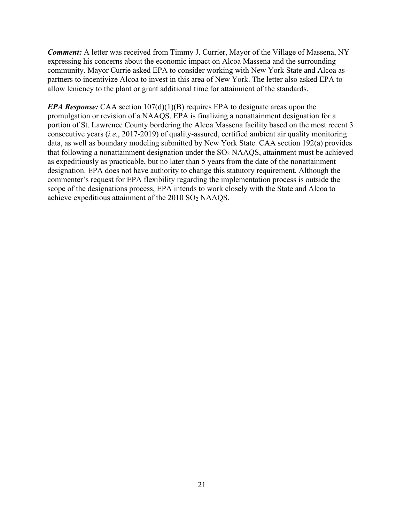*Comment:* A letter was received from Timmy J. Currier, Mayor of the Village of Massena, NY expressing his concerns about the economic impact on Alcoa Massena and the surrounding community. Mayor Currie asked EPA to consider working with New York State and Alcoa as partners to incentivize Alcoa to invest in this area of New York. The letter also asked EPA to allow leniency to the plant or grant additional time for attainment of the standards.

*EPA Response:* CAA section 107(d)(1)(B) requires EPA to designate areas upon the promulgation or revision of a NAAQS. EPA is finalizing a nonattainment designation for a portion of St. Lawrence County bordering the Alcoa Massena facility based on the most recent 3 consecutive years (*i.e.*, 2017-2019) of quality-assured, certified ambient air quality monitoring data, as well as boundary modeling submitted by New York State. CAA section 192(a) provides that following a nonattainment designation under the  $SO<sub>2</sub>$  NAAQS, attainment must be achieved as expeditiously as practicable, but no later than 5 years from the date of the nonattainment designation. EPA does not have authority to change this statutory requirement. Although the commenter's request for EPA flexibility regarding the implementation process is outside the scope of the designations process, EPA intends to work closely with the State and Alcoa to achieve expeditious attainment of the 2010 SO2 NAAQS.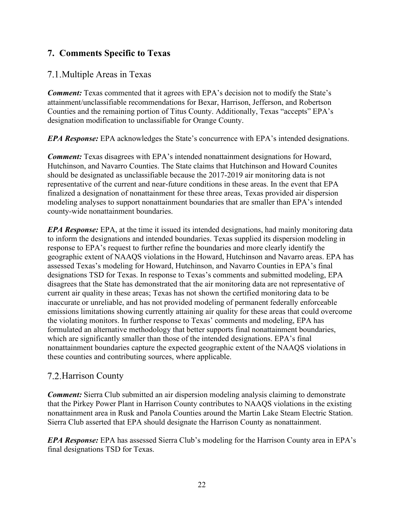# <span id="page-22-0"></span>**7. Comments Specific to Texas**

### <span id="page-22-1"></span>7.1. Multiple Areas in Texas

**Comment:** Texas commented that it agrees with EPA's decision not to modify the State's attainment/unclassifiable recommendations for Bexar, Harrison, Jefferson, and Robertson Counties and the remaining portion of Titus County. Additionally, Texas "accepts" EPA's designation modification to unclassifiable for Orange County.

*EPA Response:* EPA acknowledges the State's concurrence with EPA's intended designations.

*Comment:* Texas disagrees with EPA's intended nonattainment designations for Howard, Hutchinson, and Navarro Counties. The State claims that Hutchinson and Howard Counites should be designated as unclassifiable because the 2017-2019 air monitoring data is not representative of the current and near-future conditions in these areas. In the event that EPA finalized a designation of nonattainment for these three areas, Texas provided air dispersion modeling analyses to support nonattainment boundaries that are smaller than EPA's intended county-wide nonattainment boundaries.

*EPA Response:* EPA, at the time it issued its intended designations, had mainly monitoring data to inform the designations and intended boundaries. Texas supplied its dispersion modeling in response to EPA's request to further refine the boundaries and more clearly identify the geographic extent of NAAQS violations in the Howard, Hutchinson and Navarro areas. EPA has assessed Texas's modeling for Howard, Hutchinson, and Navarro Counties in EPA's final designations TSD for Texas. In response to Texas's comments and submitted modeling, EPA disagrees that the State has demonstrated that the air monitoring data are not representative of current air quality in these areas; Texas has not shown the certified monitoring data to be inaccurate or unreliable, and has not provided modeling of permanent federally enforceable emissions limitations showing currently attaining air quality for these areas that could overcome the violating monitors. In further response to Texas' comments and modeling, EPA has formulated an alternative methodology that better supports final nonattainment boundaries, which are significantly smaller than those of the intended designations. EPA's final nonattainment boundaries capture the expected geographic extent of the NAAQS violations in these counties and contributing sources, where applicable.

## <span id="page-22-2"></span>7.2. Harrison County

*Comment:* Sierra Club submitted an air dispersion modeling analysis claiming to demonstrate that the Pirkey Power Plant in Harrison County contributes to NAAQS violations in the existing nonattainment area in Rusk and Panola Counties around the Martin Lake Steam Electric Station. Sierra Club asserted that EPA should designate the Harrison County as nonattainment.

*EPA Response:* EPA has assessed Sierra Club's modeling for the Harrison County area in EPA's final designations TSD for Texas.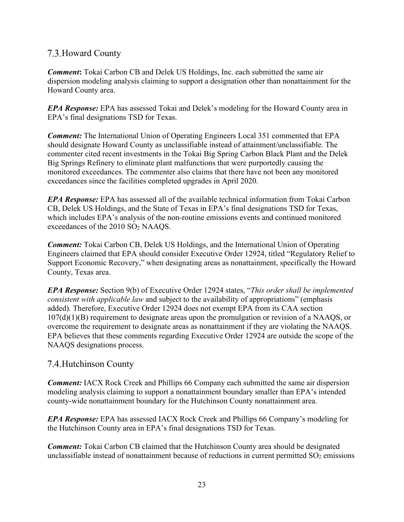## <span id="page-23-0"></span>7.3. Howard County

*Comment***:** Tokai Carbon CB and Delek US Holdings, Inc. each submitted the same air dispersion modeling analysis claiming to support a designation other than nonattainment for the Howard County area.

*EPA Response:* EPA has assessed Tokai and Delek's modeling for the Howard County area in EPA's final designations TSD for Texas.

*Comment:* The International Union of Operating Engineers Local 351 commented that EPA should designate Howard County as unclassifiable instead of attainment/unclassifiable. The commenter cited recent investments in the Tokai Big Spring Carbon Black Plant and the Delek Big Springs Refinery to eliminate plant malfunctions that were purportedly causing the monitored exceedances. The commenter also claims that there have not been any monitored exceedances since the facilities completed upgrades in April 2020.

*EPA Response:* EPA has assessed all of the available technical information from Tokai Carbon CB, Delek US Holdings, and the State of Texas in EPA's final designations TSD for Texas, which includes EPA's analysis of the non-routine emissions events and continued monitored exceedances of the 2010 SO<sub>2</sub> NAAQS.

*Comment:* Tokai Carbon CB, Delek US Holdings, and the International Union of Operating Engineers claimed that EPA should consider Executive Order 12924, titled "Regulatory Relief to Support Economic Recovery," when designating areas as nonattainment, specifically the Howard County, Texas area.

*EPA Response:* Section 9(b) of Executive Order 12924 states, "*This order shall be implemented consistent with applicable law* and subject to the availability of appropriations" (emphasis added). Therefore, Executive Order 12924 does not exempt EPA from its CAA section 107(d)(1)(B) requirement to designate areas upon the promulgation or revision of a NAAQS, or overcome the requirement to designate areas as nonattainment if they are violating the NAAQS. EPA believes that these comments regarding Executive Order 12924 are outside the scope of the NAAQS designations process.

## <span id="page-23-1"></span>7.4. Hutchinson County

*Comment:* IACX Rock Creek and Phillips 66 Company each submitted the same air dispersion modeling analysis claiming to support a nonattainment boundary smaller than EPA's intended county-wide nonattainment boundary for the Hutchinson County nonattainment area.

*EPA Response:* EPA has assessed IACX Rock Creek and Phillips 66 Company's modeling for the Hutchinson County area in EPA's final designations TSD for Texas.

*Comment:* Tokai Carbon CB claimed that the Hutchinson County area should be designated unclassifiable instead of nonattainment because of reductions in current permitted  $SO<sub>2</sub>$  emissions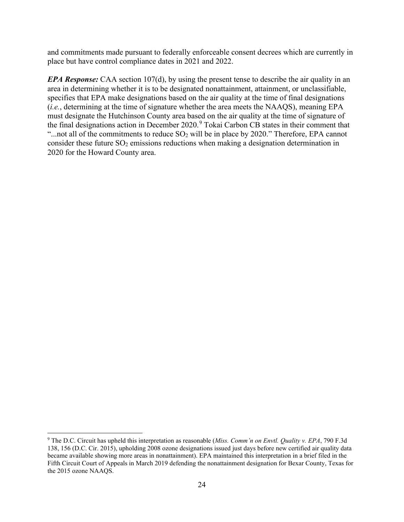and commitments made pursuant to federally enforceable consent decrees which are currently in place but have control compliance dates in 2021 and 2022.

*EPA Response:* CAA section 107(d), by using the present tense to describe the air quality in an area in determining whether it is to be designated nonattainment, attainment, or unclassifiable, specifies that EPA make designations based on the air quality at the time of final designations (*i.e.*, determining at the time of signature whether the area meets the NAAQS), meaning EPA must designate the Hutchinson County area based on the air quality at the time of signature of the final designations action in December 2020.<sup>[9](#page-24-0)</sup> Tokai Carbon CB states in their comment that "...not all of the commitments to reduce  $SO_2$  will be in place by 2020." Therefore, EPA cannot consider these future SO<sub>2</sub> emissions reductions when making a designation determination in 2020 for the Howard County area.

<span id="page-24-0"></span><sup>9</sup> The D.C. Circuit has upheld this interpretation as reasonable (*Miss. Comm'n on Envtl. Quality v. EPA*, 790 F.3d 138, 156 (D.C. Cir. 2015), upholding 2008 ozone designations issued just days before new certified air quality data became available showing more areas in nonattainment). EPA maintained this interpretation in a brief filed in the Fifth Circuit Court of Appeals in March 2019 defending the nonattainment designation for Bexar County, Texas for the 2015 ozone NAAQS.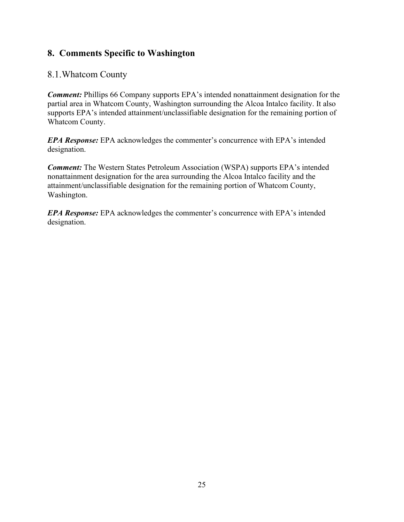# <span id="page-25-0"></span>**8. Comments Specific to Washington**

### <span id="page-25-1"></span>8.1. Whatcom County

*Comment:* Phillips 66 Company supports EPA's intended nonattainment designation for the partial area in Whatcom County, Washington surrounding the Alcoa Intalco facility. It also supports EPA's intended attainment/unclassifiable designation for the remaining portion of Whatcom County.

*EPA Response:* EPA acknowledges the commenter's concurrence with EPA's intended designation.

*Comment:* The Western States Petroleum Association (WSPA) supports EPA's intended nonattainment designation for the area surrounding the Alcoa Intalco facility and the attainment/unclassifiable designation for the remaining portion of Whatcom County, Washington.

*EPA Response:* EPA acknowledges the commenter's concurrence with EPA's intended designation.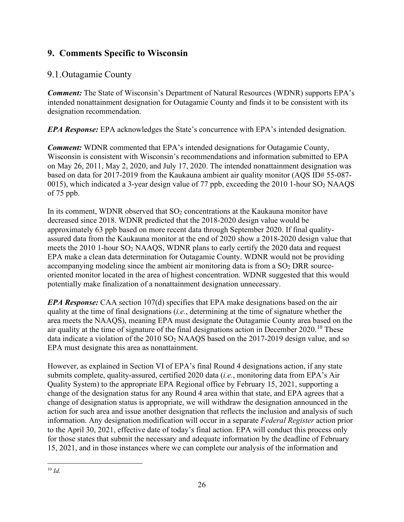# <span id="page-26-0"></span>**9. Comments Specific to Wisconsin**

## <span id="page-26-1"></span>9.1. Outagamie County

*Comment:* The State of Wisconsin's Department of Natural Resources (WDNR) supports EPA's intended nonattainment designation for Outagamie County and finds it to be consistent with its designation recommendation.

*EPA Response:* EPA acknowledges the State's concurrence with EPA's intended designation.

*Comment:* WDNR commented that EPA's intended designations for Outagamie County, Wisconsin is consistent with Wisconsin's recommendations and information submitted to EPA on May 26, 2011, May 2, 2020, and July 17, 2020. The intended nonattainment designation was based on data for 2017-2019 from the Kaukauna ambient air quality monitor (AQS ID# 55-087- 0015), which indicated a 3-year design value of 77 ppb, exceeding the 2010 1-hour  $SO_2$  NAAQS of 75 ppb.

In its comment, WDNR observed that  $SO<sub>2</sub>$  concentrations at the Kaukauna monitor have decreased since 2018. WDNR predicted that the 2018-2020 design value would be approximately 63 ppb based on more recent data through September 2020. If final qualityassured data from the Kaukauna monitor at the end of 2020 show a 2018-2020 design value that meets the 2010 1-hour SO2 NAAQS, WDNR plans to early certify the 2020 data and request EPA make a clean data determination for Outagamie County. WDNR would not be providing accompanying modeling since the ambient air monitoring data is from a  $SO<sub>2</sub>$  DRR sourceoriented monitor located in the area of highest concentration. WDNR suggested that this would potentially make finalization of a nonattainment designation unnecessary.

*EPA Response:* CAA section 107(d) specifies that EPA make designations based on the air quality at the time of final designations (*i.e.*, determining at the time of signature whether the area meets the NAAQS), meaning EPA must designate the Outagamie County area based on the air quality at the time of signature of the final designations action in December 2020.<sup>[10](#page-26-2)</sup> These data indicate a violation of the 2010 SO<sub>2</sub> NAAQS based on the 2017-2019 design value, and so EPA must designate this area as nonattainment.

<span id="page-26-2"></span>However, as explained in Section VI of EPA's final Round 4 designations action, if any state submits complete, quality-assured, certified 2020 data (*i.e.*, monitoring data from EPA's Air Quality System) to the appropriate EPA Regional office by February 15, 2021, supporting a change of the designation status for any Round 4 area within that state, and EPA agrees that a change of designation status is appropriate, we will withdraw the designation announced in the action for such area and issue another designation that reflects the inclusion and analysis of such information. Any designation modification will occur in a separate *Federal Register* action prior to the April 30, 2021, effective date of today's final action. EPA will conduct this process only for those states that submit the necessary and adequate information by the deadline of February 15, 2021, and in those instances where we can complete our analysis of the information and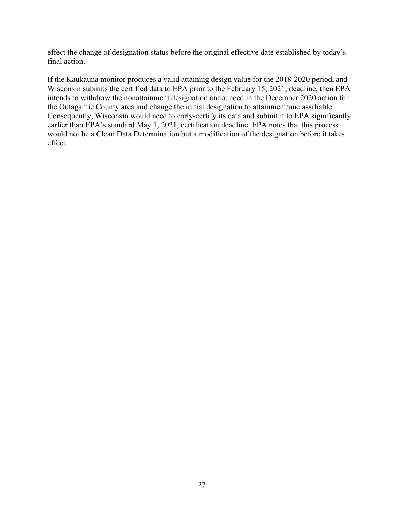effect the change of designation status before the original effective date established by today's final action.

If the Kaukauna monitor produces a valid attaining design value for the 2018-2020 period, and Wisconsin submits the certified data to EPA prior to the February 15, 2021, deadline, then EPA intends to withdraw the nonattainment designation announced in the December 2020 action for the Outagamie County area and change the initial designation to attainment/unclassifiable. Consequently, Wisconsin would need to early-certify its data and submit it to EPA significantly earlier than EPA's standard May 1, 2021, certification deadline. EPA notes that this process would not be a Clean Data Determination but a modification of the designation before it takes effect.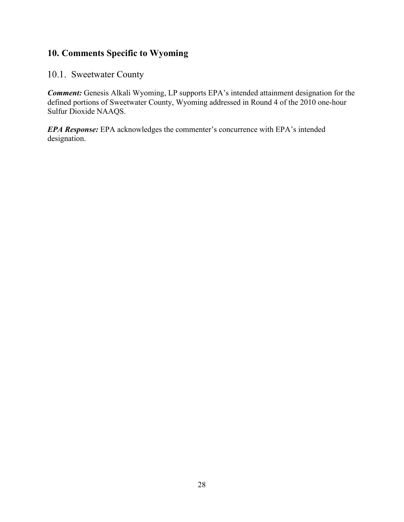# <span id="page-28-0"></span>**10. Comments Specific to Wyoming**

### <span id="page-28-1"></span>10.1. Sweetwater County

*Comment:* Genesis Alkali Wyoming, LP supports EPA's intended attainment designation for the defined portions of Sweetwater County, Wyoming addressed in Round 4 of the 2010 one-hour Sulfur Dioxide NAAQS.

*EPA Response:* EPA acknowledges the commenter's concurrence with EPA's intended designation.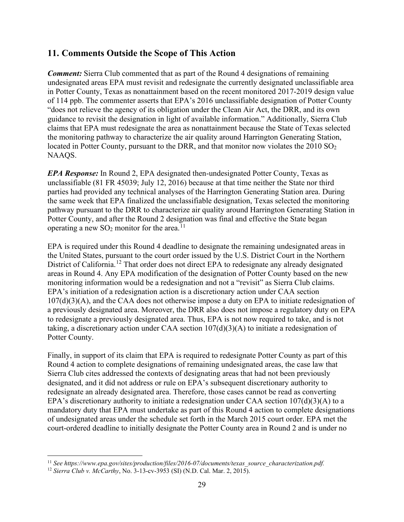### <span id="page-29-0"></span>**11. Comments Outside the Scope of This Action**

*Comment:* Sierra Club commented that as part of the Round 4 designations of remaining undesignated areas EPA must revisit and redesignate the currently designated unclassifiable area in Potter County, Texas as nonattainment based on the recent monitored 2017-2019 design value of 114 ppb. The commenter asserts that EPA's 2016 unclassifiable designation of Potter County "does not relieve the agency of its obligation under the Clean Air Act, the DRR, and its own guidance to revisit the designation in light of available information." Additionally, Sierra Club claims that EPA must redesignate the area as nonattainment because the State of Texas selected the monitoring pathway to characterize the air quality around Harrington Generating Station, located in Potter County, pursuant to the DRR, and that monitor now violates the 2010 SO<sub>2</sub> NAAQS.

*EPA Response:* In Round 2, EPA designated then-undesignated Potter County, Texas as unclassifiable (81 FR 45039; July 12, 2016) because at that time neither the State nor third parties had provided any technical analyses of the Harrington Generating Station area. During the same week that EPA finalized the unclassifiable designation, Texas selected the monitoring pathway pursuant to the DRR to characterize air quality around Harrington Generating Station in Potter County, and after the Round 2 designation was final and effective the State began operating a new  $SO_2$  monitor for the area.<sup>[11](#page-29-1)</sup>

EPA is required under this Round 4 deadline to designate the remaining undesignated areas in the United States, pursuant to the court order issued by the U.S. District Court in the Northern District of California.<sup>[12](#page-29-2)</sup> That order does not direct EPA to redesignate any already designated areas in Round 4. Any EPA modification of the designation of Potter County based on the new monitoring information would be a redesignation and not a "revisit" as Sierra Club claims. EPA's initiation of a redesignation action is a discretionary action under CAA section  $107(d)(3)(A)$ , and the CAA does not otherwise impose a duty on EPA to initiate redesignation of a previously designated area. Moreover, the DRR also does not impose a regulatory duty on EPA to redesignate a previously designated area. Thus, EPA is not now required to take, and is not taking, a discretionary action under CAA section 107(d)(3)(A) to initiate a redesignation of Potter County.

Finally, in support of its claim that EPA is required to redesignate Potter County as part of this Round 4 action to complete designations of remaining undesignated areas, the case law that Sierra Club cites addressed the contexts of designating areas that had not been previously designated, and it did not address or rule on EPA's subsequent discretionary authority to redesignate an already designated area. Therefore, those cases cannot be read as converting EPA's discretionary authority to initiate a redesignation under CAA section  $107(d)(3)(A)$  to a mandatory duty that EPA must undertake as part of this Round 4 action to complete designations of undesignated areas under the schedule set forth in the March 2015 court order. EPA met the court-ordered deadline to initially designate the Potter County area in Round 2 and is under no

<span id="page-29-1"></span><sup>11</sup> *See https://www.epa.gov/sites/production/files/2016-07/documents/texas\_source\_characterization.pdf.*

<span id="page-29-2"></span><sup>12</sup> *Sierra Club v. McCarthy*, No. 3-13-cv-3953 (SI) (N.D. Cal. Mar. 2, 2015).